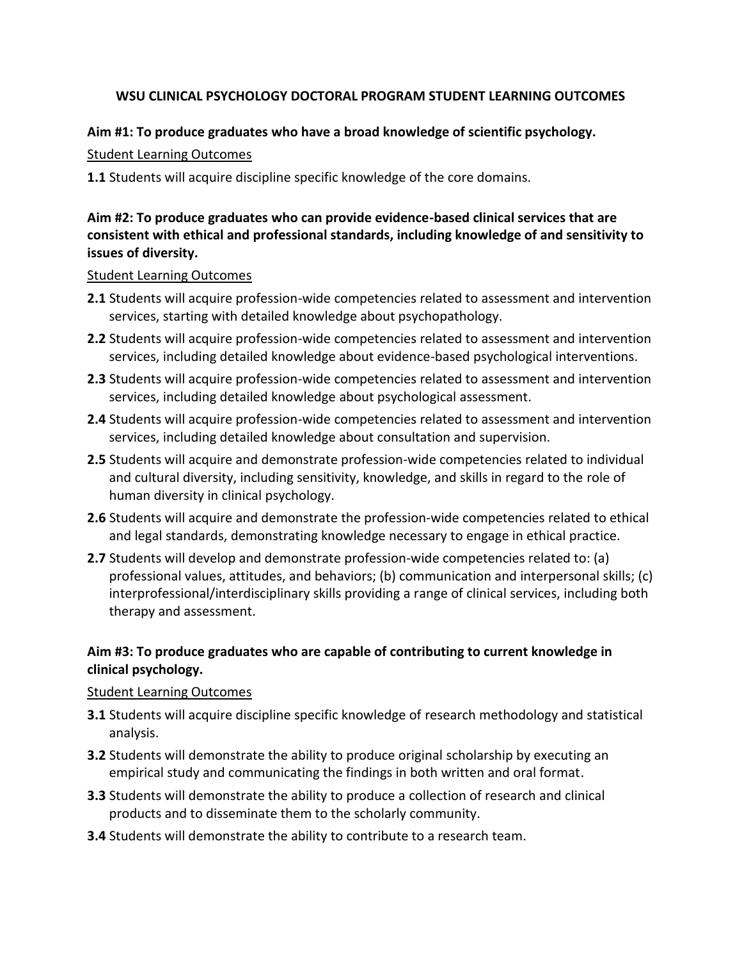## **WSU CLINICAL PSYCHOLOGY DOCTORAL PROGRAM STUDENT LEARNING OUTCOMES**

### **Aim #1: To produce graduates who have a broad knowledge of scientific psychology.**

Student Learning Outcomes

**1.1** Students will acquire discipline specific knowledge of the core domains.

# **Aim #2: To produce graduates who can provide evidence-based clinical services that are consistent with ethical and professional standards, including knowledge of and sensitivity to issues of diversity.**

#### Student Learning Outcomes

- **2.1** Students will acquire profession-wide competencies related to assessment and intervention services, starting with detailed knowledge about psychopathology.
- **2.2** Students will acquire profession-wide competencies related to assessment and intervention services, including detailed knowledge about evidence-based psychological interventions.
- **2.3** Students will acquire profession-wide competencies related to assessment and intervention services, including detailed knowledge about psychological assessment.
- **2.4** Students will acquire profession-wide competencies related to assessment and intervention services, including detailed knowledge about consultation and supervision.
- **2.5** Students will acquire and demonstrate profession-wide competencies related to individual and cultural diversity, including sensitivity, knowledge, and skills in regard to the role of human diversity in clinical psychology.
- **2.6** Students will acquire and demonstrate the profession-wide competencies related to ethical and legal standards, demonstrating knowledge necessary to engage in ethical practice.
- **2.7** Students will develop and demonstrate profession-wide competencies related to: (a) professional values, attitudes, and behaviors; (b) communication and interpersonal skills; (c) interprofessional/interdisciplinary skills providing a range of clinical services, including both therapy and assessment.

# **Aim #3: To produce graduates who are capable of contributing to current knowledge in clinical psychology.**

## Student Learning Outcomes

- **3.1** Students will acquire discipline specific knowledge of research methodology and statistical analysis.
- **3.2** Students will demonstrate the ability to produce original scholarship by executing an empirical study and communicating the findings in both written and oral format.
- **3.3** Students will demonstrate the ability to produce a collection of research and clinical products and to disseminate them to the scholarly community.
- **3.4** Students will demonstrate the ability to contribute to a research team.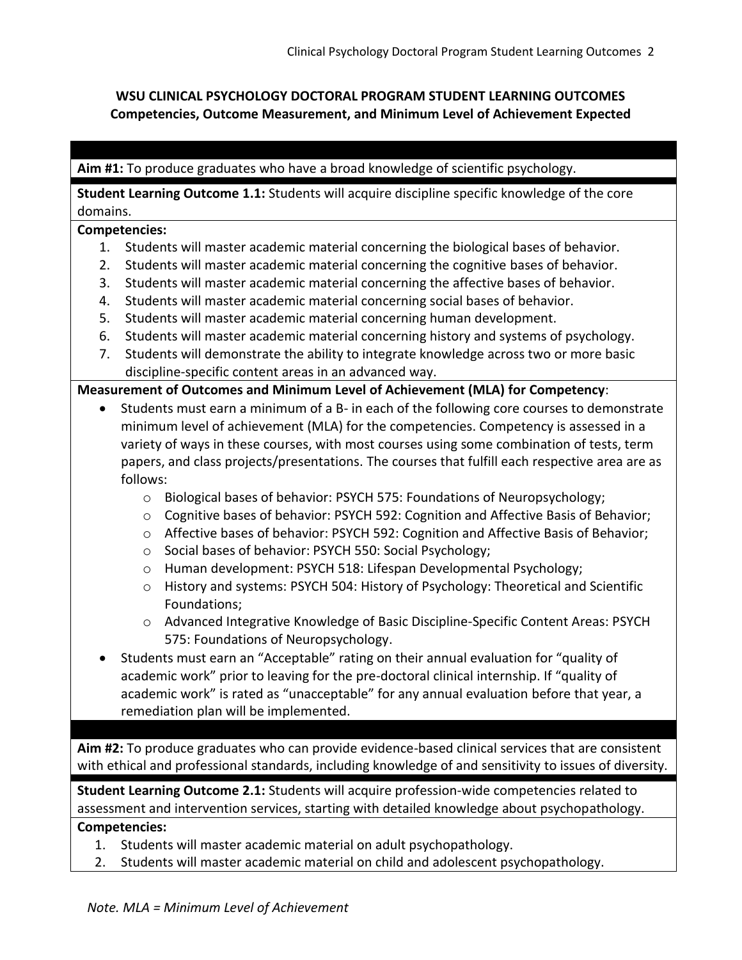# **WSU CLINICAL PSYCHOLOGY DOCTORAL PROGRAM STUDENT LEARNING OUTCOMES Competencies, Outcome Measurement, and Minimum Level of Achievement Expected**

## **Aim #1:** To produce graduates who have a broad knowledge of scientific psychology.

**Student Learning Outcome 1.1:** Students will acquire discipline specific knowledge of the core domains.

#### **Competencies:**

- 1. Students will master academic material concerning the biological bases of behavior.
- 2. Students will master academic material concerning the cognitive bases of behavior.
- 3. Students will master academic material concerning the affective bases of behavior.
- 4. Students will master academic material concerning social bases of behavior.
- 5. Students will master academic material concerning human development.
- 6. Students will master academic material concerning history and systems of psychology.
- 7. Students will demonstrate the ability to integrate knowledge across two or more basic discipline-specific content areas in an advanced way.

#### **Measurement of Outcomes and Minimum Level of Achievement (MLA) for Competency**:

- Students must earn a minimum of a B- in each of the following core courses to demonstrate minimum level of achievement (MLA) for the competencies. Competency is assessed in a variety of ways in these courses, with most courses using some combination of tests, term papers, and class projects/presentations. The courses that fulfill each respective area are as follows:
	- o Biological bases of behavior: PSYCH 575: Foundations of Neuropsychology;
	- $\circ$  Cognitive bases of behavior: PSYCH 592: Cognition and Affective Basis of Behavior;
	- o Affective bases of behavior: PSYCH 592: Cognition and Affective Basis of Behavior;
	- o Social bases of behavior: PSYCH 550: Social Psychology;
	- o Human development: PSYCH 518: Lifespan Developmental Psychology;
	- o History and systems: PSYCH 504: History of Psychology: Theoretical and Scientific Foundations;
	- o Advanced Integrative Knowledge of Basic Discipline-Specific Content Areas: PSYCH 575: Foundations of Neuropsychology.
- Students must earn an "Acceptable" rating on their annual evaluation for "quality of academic work" prior to leaving for the pre-doctoral clinical internship. If "quality of academic work" is rated as "unacceptable" for any annual evaluation before that year, a remediation plan will be implemented.

**Aim #2:** To produce graduates who can provide evidence-based clinical services that are consistent with ethical and professional standards, including knowledge of and sensitivity to issues of diversity.

**Student Learning Outcome 2.1:** Students will acquire profession-wide competencies related to assessment and intervention services, starting with detailed knowledge about psychopathology.

#### **Competencies:**

- 1. Students will master academic material on adult psychopathology.
- 2. Students will master academic material on child and adolescent psychopathology.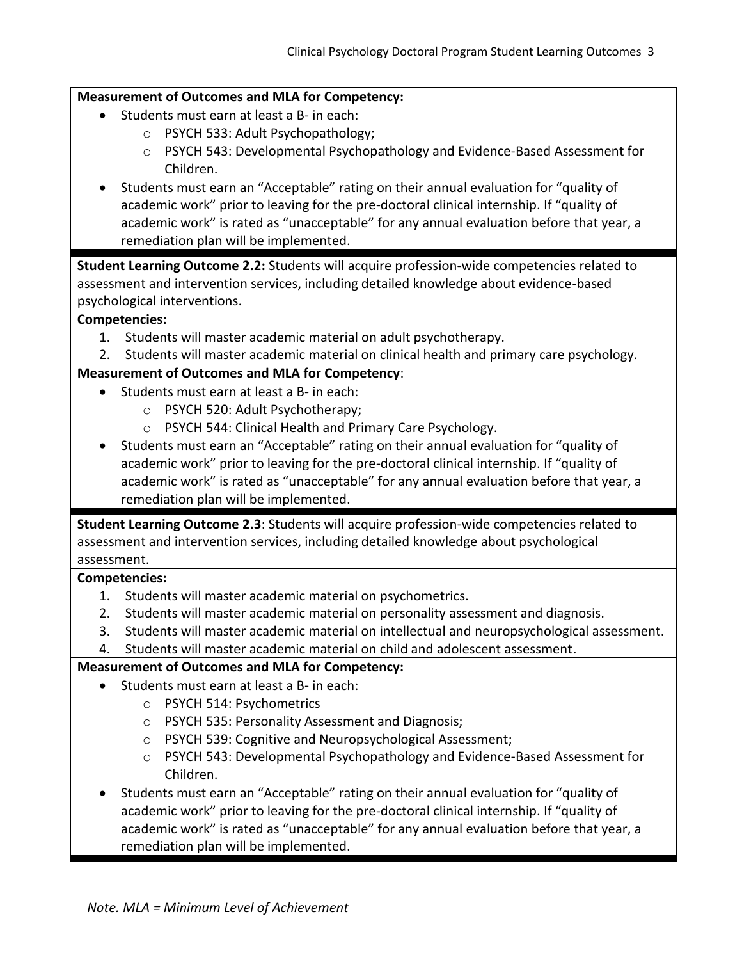### **Measurement of Outcomes and MLA for Competency:**

- Students must earn at least a B- in each:
	- o PSYCH 533: Adult Psychopathology;
	- o PSYCH 543: Developmental Psychopathology and Evidence-Based Assessment for Children.
- Students must earn an "Acceptable" rating on their annual evaluation for "quality of academic work" prior to leaving for the pre-doctoral clinical internship. If "quality of academic work" is rated as "unacceptable" for any annual evaluation before that year, a remediation plan will be implemented.

**Student Learning Outcome 2.2:** Students will acquire profession-wide competencies related to assessment and intervention services, including detailed knowledge about evidence-based psychological interventions.

#### **Competencies:**

- 1. Students will master academic material on adult psychotherapy.
- 2. Students will master academic material on clinical health and primary care psychology.

#### **Measurement of Outcomes and MLA for Competency**:

- Students must earn at least a B- in each:
	- o PSYCH 520: Adult Psychotherapy;
	- o PSYCH 544: Clinical Health and Primary Care Psychology.
- Students must earn an "Acceptable" rating on their annual evaluation for "quality of academic work" prior to leaving for the pre-doctoral clinical internship. If "quality of academic work" is rated as "unacceptable" for any annual evaluation before that year, a remediation plan will be implemented.

**Student Learning Outcome 2.3**: Students will acquire profession-wide competencies related to assessment and intervention services, including detailed knowledge about psychological assessment.

## **Competencies:**

- 1. Students will master academic material on psychometrics.
- 2. Students will master academic material on personality assessment and diagnosis.
- 3. Students will master academic material on intellectual and neuropsychological assessment.
- 4. Students will master academic material on child and adolescent assessment.

## **Measurement of Outcomes and MLA for Competency:**

- Students must earn at least a B- in each:
	- o PSYCH 514: Psychometrics
	- o PSYCH 535: Personality Assessment and Diagnosis;
	- o PSYCH 539: Cognitive and Neuropsychological Assessment;
	- o PSYCH 543: Developmental Psychopathology and Evidence-Based Assessment for Children.
- Students must earn an "Acceptable" rating on their annual evaluation for "quality of academic work" prior to leaving for the pre-doctoral clinical internship. If "quality of academic work" is rated as "unacceptable" for any annual evaluation before that year, a remediation plan will be implemented.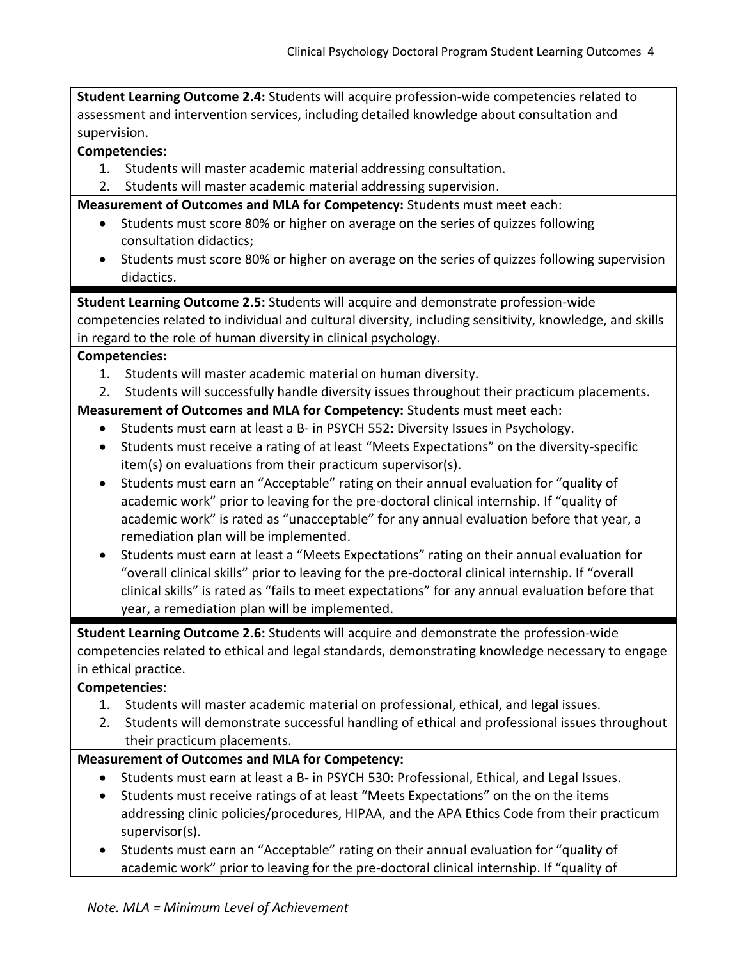**Student Learning Outcome 2.4:** Students will acquire profession-wide competencies related to assessment and intervention services, including detailed knowledge about consultation and supervision.

#### **Competencies:**

- 1. Students will master academic material addressing consultation.
- 2. Students will master academic material addressing supervision.

**Measurement of Outcomes and MLA for Competency:** Students must meet each:

- Students must score 80% or higher on average on the series of quizzes following consultation didactics;
- Students must score 80% or higher on average on the series of quizzes following supervision didactics.

**Student Learning Outcome 2.5:** Students will acquire and demonstrate profession-wide competencies related to individual and cultural diversity, including sensitivity, knowledge, and skills in regard to the role of human diversity in clinical psychology.

#### **Competencies:**

- 1. Students will master academic material on human diversity.
- 2. Students will successfully handle diversity issues throughout their practicum placements.

**Measurement of Outcomes and MLA for Competency:** Students must meet each:

- Students must earn at least a B- in PSYCH 552: Diversity Issues in Psychology.
- Students must receive a rating of at least "Meets Expectations" on the diversity-specific item(s) on evaluations from their practicum supervisor(s).
- Students must earn an "Acceptable" rating on their annual evaluation for "quality of academic work" prior to leaving for the pre-doctoral clinical internship. If "quality of academic work" is rated as "unacceptable" for any annual evaluation before that year, a remediation plan will be implemented.
- Students must earn at least a "Meets Expectations" rating on their annual evaluation for "overall clinical skills" prior to leaving for the pre-doctoral clinical internship. If "overall clinical skills" is rated as "fails to meet expectations" for any annual evaluation before that year, a remediation plan will be implemented.

**Student Learning Outcome 2.6:** Students will acquire and demonstrate the profession-wide competencies related to ethical and legal standards, demonstrating knowledge necessary to engage in ethical practice.

#### **Competencies**:

- 1. Students will master academic material on professional, ethical, and legal issues.
- 2. Students will demonstrate successful handling of ethical and professional issues throughout their practicum placements.

## **Measurement of Outcomes and MLA for Competency:**

- Students must earn at least a B- in PSYCH 530: Professional, Ethical, and Legal Issues.
- Students must receive ratings of at least "Meets Expectations" on the on the items addressing clinic policies/procedures, HIPAA, and the APA Ethics Code from their practicum supervisor(s).
- Students must earn an "Acceptable" rating on their annual evaluation for "quality of academic work" prior to leaving for the pre-doctoral clinical internship. If "quality of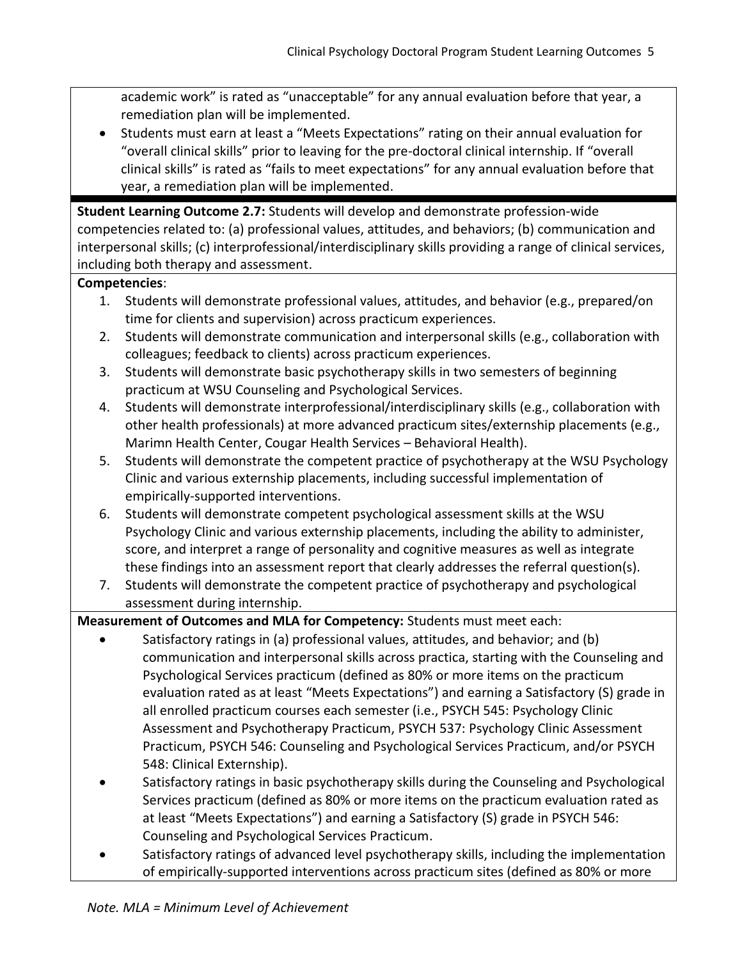academic work" is rated as "unacceptable" for any annual evaluation before that year, a remediation plan will be implemented.

• Students must earn at least a "Meets Expectations" rating on their annual evaluation for "overall clinical skills" prior to leaving for the pre-doctoral clinical internship. If "overall clinical skills" is rated as "fails to meet expectations" for any annual evaluation before that year, a remediation plan will be implemented.

**Student Learning Outcome 2.7:** Students will develop and demonstrate profession-wide competencies related to: (a) professional values, attitudes, and behaviors; (b) communication and interpersonal skills; (c) interprofessional/interdisciplinary skills providing a range of clinical services, including both therapy and assessment.

# **Competencies**:

- 1. Students will demonstrate professional values, attitudes, and behavior (e.g., prepared/on time for clients and supervision) across practicum experiences.
- 2. Students will demonstrate communication and interpersonal skills (e.g., collaboration with colleagues; feedback to clients) across practicum experiences.
- 3. Students will demonstrate basic psychotherapy skills in two semesters of beginning practicum at WSU Counseling and Psychological Services.
- 4. Students will demonstrate interprofessional/interdisciplinary skills (e.g., collaboration with other health professionals) at more advanced practicum sites/externship placements (e.g., Marimn Health Center, Cougar Health Services – Behavioral Health).
- 5. Students will demonstrate the competent practice of psychotherapy at the WSU Psychology Clinic and various externship placements, including successful implementation of empirically-supported interventions.
- 6. Students will demonstrate competent psychological assessment skills at the WSU Psychology Clinic and various externship placements, including the ability to administer, score, and interpret a range of personality and cognitive measures as well as integrate these findings into an assessment report that clearly addresses the referral question(s).
- 7. Students will demonstrate the competent practice of psychotherapy and psychological assessment during internship.

**Measurement of Outcomes and MLA for Competency:** Students must meet each:

- Satisfactory ratings in (a) professional values, attitudes, and behavior; and (b) communication and interpersonal skills across practica, starting with the Counseling and Psychological Services practicum (defined as 80% or more items on the practicum evaluation rated as at least "Meets Expectations") and earning a Satisfactory (S) grade in all enrolled practicum courses each semester (i.e., PSYCH 545: Psychology Clinic Assessment and Psychotherapy Practicum, PSYCH 537: Psychology Clinic Assessment Practicum, PSYCH 546: Counseling and Psychological Services Practicum, and/or PSYCH 548: Clinical Externship).
- Satisfactory ratings in basic psychotherapy skills during the Counseling and Psychological Services practicum (defined as 80% or more items on the practicum evaluation rated as at least "Meets Expectations") and earning a Satisfactory (S) grade in PSYCH 546: Counseling and Psychological Services Practicum.
- Satisfactory ratings of advanced level psychotherapy skills, including the implementation of empirically-supported interventions across practicum sites (defined as 80% or more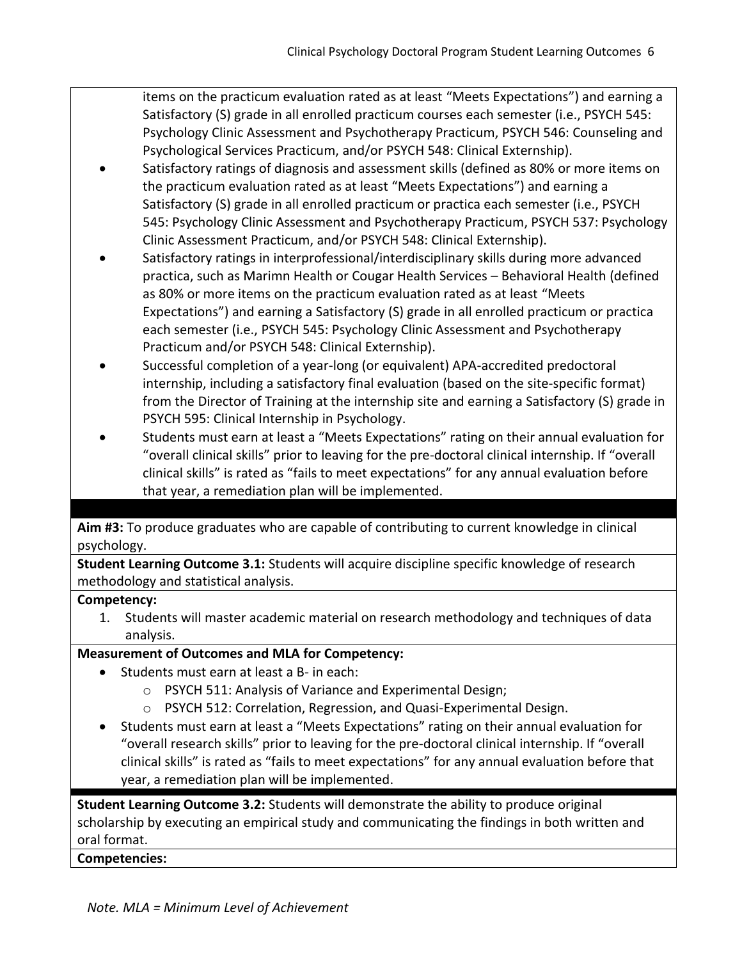items on the practicum evaluation rated as at least "Meets Expectations") and earning a Satisfactory (S) grade in all enrolled practicum courses each semester (i.e., PSYCH 545: Psychology Clinic Assessment and Psychotherapy Practicum, PSYCH 546: Counseling and Psychological Services Practicum, and/or PSYCH 548: Clinical Externship).

- Satisfactory ratings of diagnosis and assessment skills (defined as 80% or more items on the practicum evaluation rated as at least "Meets Expectations") and earning a Satisfactory (S) grade in all enrolled practicum or practica each semester (i.e., PSYCH 545: Psychology Clinic Assessment and Psychotherapy Practicum, PSYCH 537: Psychology Clinic Assessment Practicum, and/or PSYCH 548: Clinical Externship).
- Satisfactory ratings in interprofessional/interdisciplinary skills during more advanced practica, such as Marimn Health or Cougar Health Services – Behavioral Health (defined as 80% or more items on the practicum evaluation rated as at least "Meets Expectations") and earning a Satisfactory (S) grade in all enrolled practicum or practica each semester (i.e., PSYCH 545: Psychology Clinic Assessment and Psychotherapy Practicum and/or PSYCH 548: Clinical Externship).
- Successful completion of a year-long (or equivalent) APA-accredited predoctoral internship, including a satisfactory final evaluation (based on the site-specific format) from the Director of Training at the internship site and earning a Satisfactory (S) grade in PSYCH 595: Clinical Internship in Psychology.
- Students must earn at least a "Meets Expectations" rating on their annual evaluation for "overall clinical skills" prior to leaving for the pre-doctoral clinical internship. If "overall clinical skills" is rated as "fails to meet expectations" for any annual evaluation before that year, a remediation plan will be implemented.

**Aim #3:** To produce graduates who are capable of contributing to current knowledge in clinical psychology.

**Student Learning Outcome 3.1:** Students will acquire discipline specific knowledge of research methodology and statistical analysis.

# **Competency:**

1. Students will master academic material on research methodology and techniques of data analysis.

# **Measurement of Outcomes and MLA for Competency:**

- Students must earn at least a B- in each:
	- o PSYCH 511: Analysis of Variance and Experimental Design;
	- o PSYCH 512: Correlation, Regression, and Quasi-Experimental Design.
- Students must earn at least a "Meets Expectations" rating on their annual evaluation for "overall research skills" prior to leaving for the pre-doctoral clinical internship. If "overall clinical skills" is rated as "fails to meet expectations" for any annual evaluation before that year, a remediation plan will be implemented.

**Student Learning Outcome 3.2:** Students will demonstrate the ability to produce original scholarship by executing an empirical study and communicating the findings in both written and oral format.

**Competencies:**